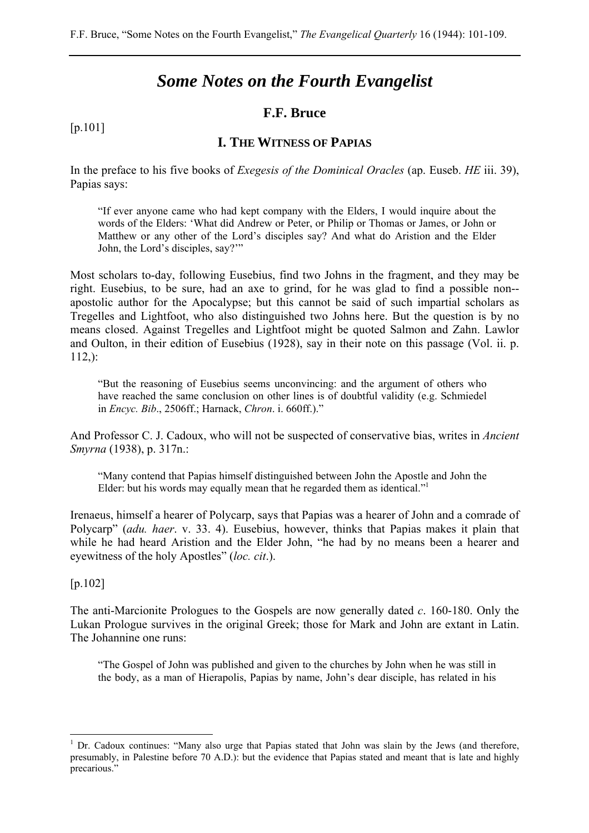# *Some Notes on the Fourth Evangelist*

### **F.F. Bruce**

#### [p.101]

### **I. THE WITNESS OF PAPIAS**

In the preface to his five books of *Exegesis of the Dominical Oracles* (ap. Euseb. *HE* iii. 39), Papias says:

"If ever anyone came who had kept company with the Elders, I would inquire about the words of the Elders: 'What did Andrew or Peter, or Philip or Thomas or James, or John or Matthew or any other of the Lord's disciples say? And what do Aristion and the Elder John, the Lord's disciples, say?'"

Most scholars to-day, following Eusebius, find two Johns in the fragment, and they may be right. Eusebius, to be sure, had an axe to grind, for he was glad to find a possible non- apostolic author for the Apocalypse; but this cannot be said of such impartial scholars as Tregelles and Lightfoot, who also distinguished two Johns here. But the question is by no means closed. Against Tregelles and Lightfoot might be quoted Salmon and Zahn. Lawlor and Oulton, in their edition of Eusebius (1928), say in their note on this passage (Vol. ii. p. 112,):

"But the reasoning of Eusebius seems unconvincing: and the argument of others who have reached the same conclusion on other lines is of doubtful validity (e.g. Schmiedel in *Encyc. Bib*., 2506ff.; Harnack, *Chron*. i. 660ff.)."

And Professor C. J. Cadoux, who will not be suspected of conservative bias, writes in *Ancient Smyrna* (1938), p. 317n.:

"Many contend that Papias himself distinguished between John the Apostle and John the Elder: but his words may equally mean that he regarded them as identical."<sup>1</sup>

Irenaeus, himself a hearer of Polycarp, says that Papias was a hearer of John and a comrade of Polycarp" (*adu. haer*. v. 33. 4). Eusebius, however, thinks that Papias makes it plain that while he had heard Aristion and the Elder John, "he had by no means been a hearer and eyewitness of the holy Apostles" (*loc. cit*.).

[p.102]

 $\overline{a}$ 

The anti-Marcionite Prologues to the Gospels are now generally dated *c*. 160-180. Only the Lukan Prologue survives in the original Greek; those for Mark and John are extant in Latin. The Johannine one runs:

"The Gospel of John was published and given to the churches by John when he was still in the body, as a man of Hierapolis, Papias by name, John's dear disciple, has related in his

<sup>1</sup> Dr. Cadoux continues: "Many also urge that Papias stated that John was slain by the Jews (and therefore, presumably, in Palestine before 70 A.D.): but the evidence that Papias stated and meant that is late and highly precarious."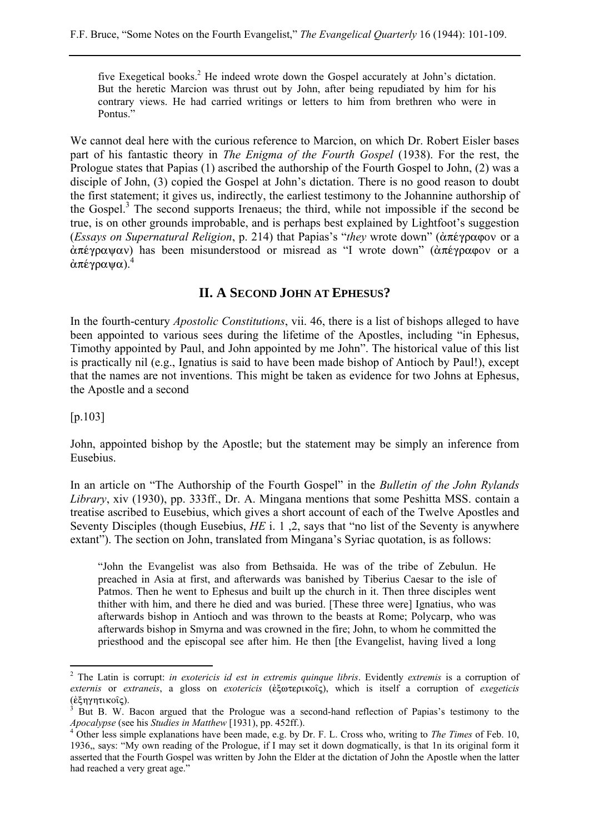five Exegetical books.<sup>2</sup> He indeed wrote down the Gospel accurately at John's dictation. But the heretic Marcion was thrust out by John, after being repudiated by him for his contrary views. He had carried writings or letters to him from brethren who were in Pontus."

We cannot deal here with the curious reference to Marcion, on which Dr. Robert Eisler bases part of his fantastic theory in *The Enigma of the Fourth Gospel* (1938). For the rest, the Prologue states that Papias (1) ascribed the authorship of the Fourth Gospel to John, (2) was a disciple of John, (3) copied the Gospel at John's dictation. There is no good reason to doubt the first statement; it gives us, indirectly, the earliest testimony to the Johannine authorship of the Gospel.<sup>3</sup> The second supports Irenaeus; the third, while not impossible if the second be true, is on other grounds improbable, and is perhaps best explained by Lightfoot's suggestion *(Essays on Supernatural Religion, p. 214)* that Papias's "*they* wrote down" (ἀπέγραφον or a  $\alpha\pi\epsilon\gamma\rho\alpha\psi\alpha\nu$ ) has been misunderstood or misread as "I wrote down" ( $\alpha\pi\epsilon\gamma\rho\alpha\varphi$ ov or a  $\alpha \pi \epsilon \gamma \rho \alpha \psi \alpha$ ).<sup>4</sup>

## **II. A SECOND JOHN AT EPHESUS?**

In the fourth-century *Apostolic Constitutions*, vii. 46, there is a list of bishops alleged to have been appointed to various sees during the lifetime of the Apostles, including "in Ephesus, Timothy appointed by Paul, and John appointed by me John". The historical value of this list is practically nil (e.g., Ignatius is said to have been made bishop of Antioch by Paul!), except that the names are not inventions. This might be taken as evidence for two Johns at Ephesus, the Apostle and a second

[p.103]

 $\overline{a}$ 

John, appointed bishop by the Apostle; but the statement may be simply an inference from Eusebius.

In an article on "The Authorship of the Fourth Gospel" in the *Bulletin of the John Rylands Library*, xiv (1930), pp. 333ff., Dr. A. Mingana mentions that some Peshitta MSS. contain a treatise ascribed to Eusebius, which gives a short account of each of the Twelve Apostles and Seventy Disciples (though Eusebius, *HE* i. 1 ,2, says that "no list of the Seventy is anywhere extant"). The section on John, translated from Mingana's Syriac quotation, is as follows:

"John the Evangelist was also from Bethsaida. He was of the tribe of Zebulun. He preached in Asia at first, and afterwards was banished by Tiberius Caesar to the isle of Patmos. Then he went to Ephesus and built up the church in it. Then three disciples went thither with him, and there he died and was buried. [These three were] Ignatius, who was afterwards bishop in Antioch and was thrown to the beasts at Rome; Polycarp, who was afterwards bishop in Smyrna and was crowned in the fire; John, to whom he committed the priesthood and the episcopal see after him. He then [the Evangelist, having lived a long

<sup>2</sup> The Latin is corrupt: *in exotericis id est in extremis quinque libris*. Evidently *extremis* is a corruption of *externis* or *extraneis*, a gloss on *exotericis* (εξωτερικοΐς), which is itself a corruption of *exegeticis* (έξη γητικοίς).

But B. W. Bacon argued that the Prologue was a second-hand reflection of Papias's testimony to the *Apocalypse* (see his *Studies in Matthew* [1931), pp. 452ff.). 4

Other less simple explanations have been made, e.g. by Dr. F. L. Cross who, writing to *The Times* of Feb. 10, 1936,, says: "My own reading of the Prologue, if I may set it down dogmatically, is that 1n its original form it asserted that the Fourth Gospel was written by John the Elder at the dictation of John the Apostle when the latter had reached a very great age."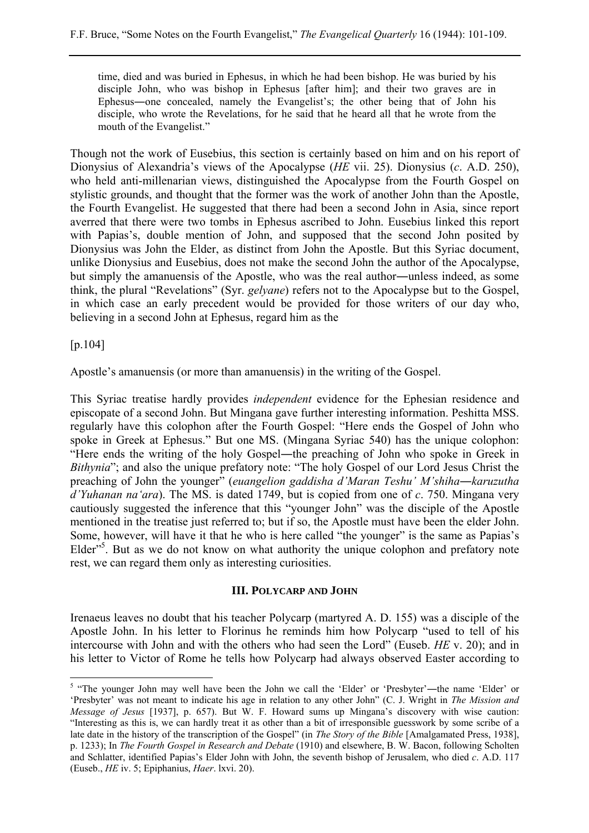time, died and was buried in Ephesus, in which he had been bishop. He was buried by his disciple John, who was bishop in Ephesus [after him]; and their two graves are in Ephesus―one concealed, namely the Evangelist's; the other being that of John his disciple, who wrote the Revelations, for he said that he heard all that he wrote from the mouth of the Evangelist."

Though not the work of Eusebius, this section is certainly based on him and on his report of Dionysius of Alexandria's views of the Apocalypse (*HE* vii. 25). Dionysius (*c*. A.D. 250), who held anti-millenarian views, distinguished the Apocalypse from the Fourth Gospel on stylistic grounds, and thought that the former was the work of another John than the Apostle, the Fourth Evangelist. He suggested that there had been a second John in Asia, since report averred that there were two tombs in Ephesus ascribed to John. Eusebius linked this report with Papias's, double mention of John, and supposed that the second John posited by Dionysius was John the Elder, as distinct from John the Apostle. But this Syriac document, unlike Dionysius and Eusebius, does not make the second John the author of the Apocalypse, but simply the amanuensis of the Apostle, who was the real author―unless indeed, as some think, the plural "Revelations" (Syr. *gelyane*) refers not to the Apocalypse but to the Gospel, in which case an early precedent would be provided for those writers of our day who, believing in a second John at Ephesus, regard him as the

[p.104]

 $\overline{a}$ 

Apostle's amanuensis (or more than amanuensis) in the writing of the Gospel.

This Syriac treatise hardly provides *independent* evidence for the Ephesian residence and episcopate of a second John. But Mingana gave further interesting information. Peshitta MSS. regularly have this colophon after the Fourth Gospel: "Here ends the Gospel of John who spoke in Greek at Ephesus." But one MS. (Mingana Syriac 540) has the unique colophon: "Here ends the writing of the holy Gospel―the preaching of John who spoke in Greek in *Bithynia*"; and also the unique prefatory note: "The holy Gospel of our Lord Jesus Christ the preaching of John the younger" (*euangelion gaddisha d'Maran Teshu' M'shiha―karuzutha d'Yuhanan na'ara*). The MS. is dated 1749, but is copied from one of *c*. 750. Mingana very cautiously suggested the inference that this "younger John" was the disciple of the Apostle mentioned in the treatise just referred to; but if so, the Apostle must have been the elder John. Some, however, will have it that he who is here called "the younger" is the same as Papias's Elder<sup>"5</sup>. But as we do not know on what authority the unique colophon and prefatory note rest, we can regard them only as interesting curiosities.

#### **III. POLYCARP AND JOHN**

Irenaeus leaves no doubt that his teacher Polycarp (martyred A. D. 155) was a disciple of the Apostle John. In his letter to Florinus he reminds him how Polycarp "used to tell of his intercourse with John and with the others who had seen the Lord" (Euseb. *HE* v. 20); and in his letter to Victor of Rome he tells how Polycarp had always observed Easter according to

<sup>&</sup>lt;sup>5</sup> "The younger John may well have been the John we call the 'Elder' or 'Presbyter'—the name 'Elder' or 'Presbyter' was not meant to indicate his age in relation to any other John" (C. J. Wright in *The Mission and Message of Jesus* [1937], p. 657). But W. F. Howard sums up Mingana's discovery with wise caution: "Interesting as this is, we can hardly treat it as other than a bit of irresponsible guesswork by some scribe of a late date in the history of the transcription of the Gospel" (in *The Story of the Bible* [Amalgamated Press, 1938], p. 1233); In *The Fourth Gospel in Research and Debate* (1910) and elsewhere, B. W. Bacon, following Scholten and Schlatter, identified Papias's Elder John with John, the seventh bishop of Jerusalem, who died *c*. A.D. 117 (Euseb., *HE* iv. 5; Epiphanius, *Haer*. lxvi. 20).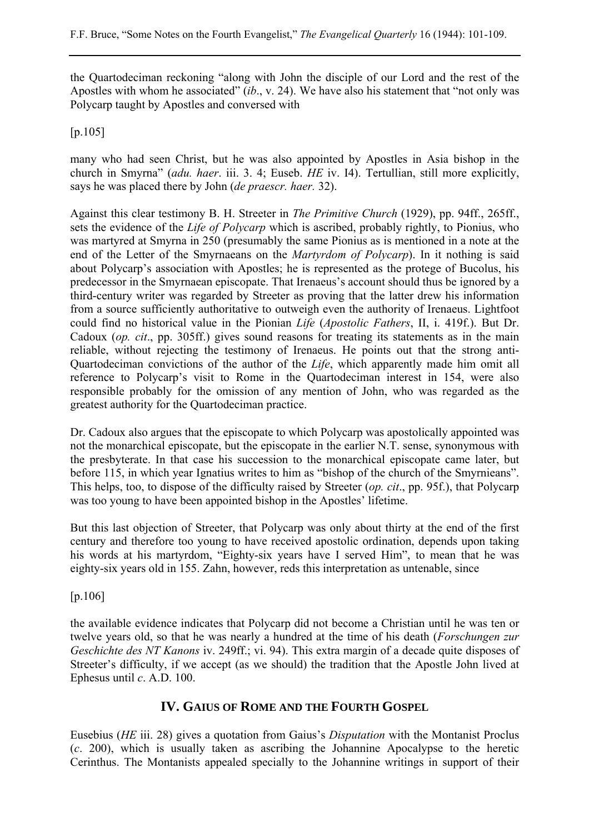the Quartodeciman reckoning "along with John the disciple of our Lord and the rest of the Apostles with whom he associated" (*ib*., v. 24). We have also his statement that "not only was Polycarp taught by Apostles and conversed with

[p.105]

many who had seen Christ, but he was also appointed by Apostles in Asia bishop in the church in Smyrna" (*adu. haer*. iii. 3. 4; Euseb. *HE* iv. I4). Tertullian, still more explicitly, says he was placed there by John (*de praescr. haer.* 32).

Against this clear testimony B. H. Streeter in *The Primitive Church* (1929), pp. 94ff., 265ff., sets the evidence of the *Life of Polycarp* which is ascribed, probably rightly, to Pionius, who was martyred at Smyrna in 250 (presumably the same Pionius as is mentioned in a note at the end of the Letter of the Smyrnaeans on the *Martyrdom of Polycarp*). In it nothing is said about Polycarp's association with Apostles; he is represented as the protege of Bucolus, his predecessor in the Smyrnaean episcopate. That Irenaeus's account should thus be ignored by a third-century writer was regarded by Streeter as proving that the latter drew his information from a source sufficiently authoritative to outweigh even the authority of Irenaeus. Lightfoot could find no historical value in the Pionian *Life* (*Apostolic Fathers*, II, i. 419f.). But Dr. Cadoux (*op. cit*., pp. 305ff.) gives sound reasons for treating its statements as in the main reliable, without rejecting the testimony of Irenaeus. He points out that the strong anti-Quartodeciman convictions of the author of the *Life*, which apparently made him omit all reference to Polycarp's visit to Rome in the Quartodeciman interest in 154, were also responsible probably for the omission of any mention of John, who was regarded as the greatest authority for the Quartodeciman practice.

Dr. Cadoux also argues that the episcopate to which Polycarp was apostolically appointed was not the monarchical episcopate, but the episcopate in the earlier N.T. sense, synonymous with the presbyterate. In that case his succession to the monarchical episcopate came later, but before 115, in which year Ignatius writes to him as "bishop of the church of the Smyrnieans". This helps, too, to dispose of the difficulty raised by Streeter (*op. cit*., pp. 95f.), that Polycarp was too young to have been appointed bishop in the Apostles' lifetime.

But this last objection of Streeter, that Polycarp was only about thirty at the end of the first century and therefore too young to have received apostolic ordination, depends upon taking his words at his martyrdom, "Eighty-six years have I served Him", to mean that he was eighty-six years old in 155. Zahn, however, reds this interpretation as untenable, since

[p.106]

the available evidence indicates that Polycarp did not become a Christian until he was ten or twelve years old, so that he was nearly a hundred at the time of his death (*Forschungen zur Geschichte des NT Kanons* iv. 249ff.; vi. 94). This extra margin of a decade quite disposes of Streeter's difficulty, if we accept (as we should) the tradition that the Apostle John lived at Ephesus until *c*. A.D. 100.

# **IV. GAIUS OF ROME AND THE FOURTH GOSPEL**

Eusebius (*HE* iii. 28) gives a quotation from Gaius's *Disputation* with the Montanist Proclus (*c*. 200), which is usually taken as ascribing the Johannine Apocalypse to the heretic Cerinthus. The Montanists appealed specially to the Johannine writings in support of their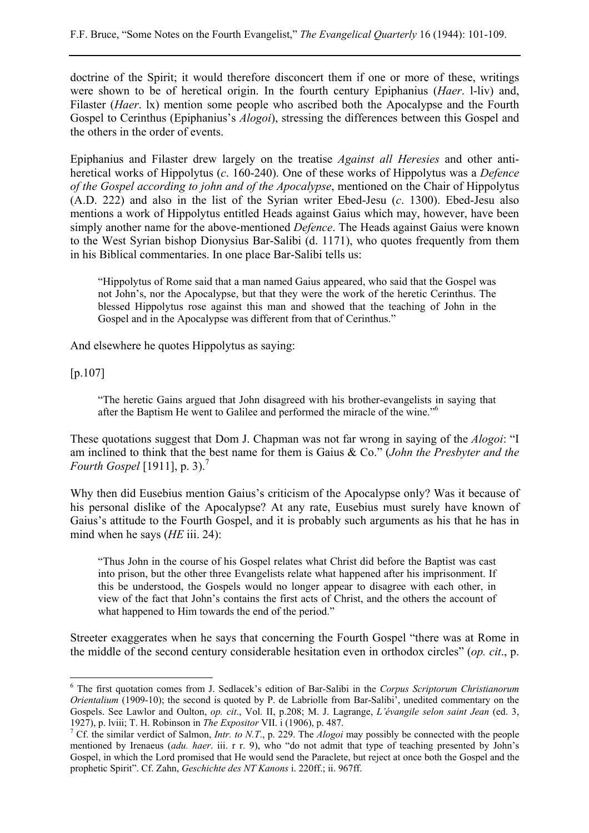doctrine of the Spirit; it would therefore disconcert them if one or more of these, writings were shown to be of heretical origin. In the fourth century Epiphanius (*Haer*. l-liv) and, Filaster (*Haer*. lx) mention some people who ascribed both the Apocalypse and the Fourth Gospel to Cerinthus (Epiphanius's *Alogoi*), stressing the differences between this Gospel and the others in the order of events.

Epiphanius and Filaster drew largely on the treatise *Against all Heresies* and other antiheretical works of Hippolytus (*c*. 160-240). One of these works of Hippolytus was a *Defence of the Gospel according to john and of the Apocalypse*, mentioned on the Chair of Hippolytus (A.D. 222) and also in the list of the Syrian writer Ebed-Jesu (*c*. 1300). Ebed-Jesu also mentions a work of Hippolytus entitled Heads against Gaius which may, however, have been simply another name for the above-mentioned *Defence*. The Heads against Gaius were known to the West Syrian bishop Dionysius Bar-Salibi (d. 1171), who quotes frequently from them in his Biblical commentaries. In one place Bar-Salibi tells us:

"Hippolytus of Rome said that a man named Gaius appeared, who said that the Gospel was not John's, nor the Apocalypse, but that they were the work of the heretic Cerinthus. The blessed Hippolytus rose against this man and showed that the teaching of John in the Gospel and in the Apocalypse was different from that of Cerinthus."

And elsewhere he quotes Hippolytus as saying:

[p.107]

 $\overline{a}$ 

"The heretic Gains argued that John disagreed with his brother-evangelists in saying that after the Baptism He went to Galilee and performed the miracle of the wine."6

These quotations suggest that Dom J. Chapman was not far wrong in saying of the *Alogoi*: "I am inclined to think that the best name for them is Gaius & Co." (*John the Presbyter and the Fourth Gospel* [1911], p. 3).<sup>7</sup>

Why then did Eusebius mention Gaius's criticism of the Apocalypse only? Was it because of his personal dislike of the Apocalypse? At any rate, Eusebius must surely have known of Gaius's attitude to the Fourth Gospel, and it is probably such arguments as his that he has in mind when he says (*HE* iii. 24):

"Thus John in the course of his Gospel relates what Christ did before the Baptist was cast into prison, but the other three Evangelists relate what happened after his imprisonment. If this be understood, the Gospels would no longer appear to disagree with each other, in view of the fact that John's contains the first acts of Christ, and the others the account of what happened to Him towards the end of the period."

Streeter exaggerates when he says that concerning the Fourth Gospel "there was at Rome in the middle of the second century considerable hesitation even in orthodox circles" (*op. cit*., p.

<sup>6</sup> The first quotation comes from J. Sedlacek's edition of Bar-Salibi in the *Corpus Scriptorum Christianorum Orientalium* (1909-10); the second is quoted by P. de Labriolle from Bar-Salibi', unedited commentary on the Gospels. See Lawlor and Oulton, *op. cit*., Vol. II, p.208; M. J. Lagrange, *L'évangile selon saint Jean* (ed. 3, 1927), p. lviii; T. H. Robinson in *The Expositor* VII. i (1906), p. 487. 7

<sup>&</sup>lt;sup>7</sup> Cf. the similar verdict of Salmon, *Intr. to N.T.*, p. 229. The *Alogoi* may possibly be connected with the people mentioned by Irenaeus (*adu. haer*. iii. r r. 9), who "do not admit that type of teaching presented by John's Gospel, in which the Lord promised that He would send the Paraclete, but reject at once both the Gospel and the prophetic Spirit". Cf. Zahn, *Geschichte des NT Kanons* i. 220ff.; ii. 967ff.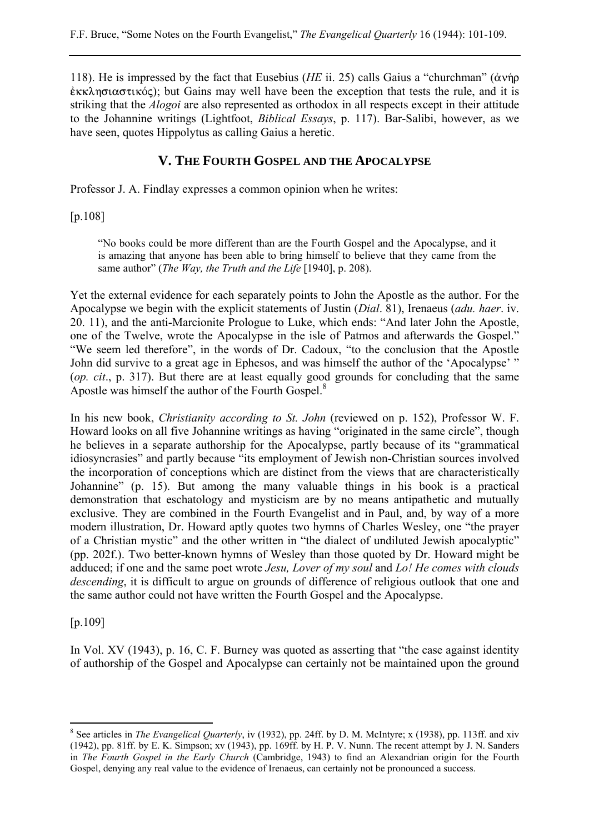118). He is impressed by the fact that Eusebius (*HE* ii. 25) calls Gaius a "churchman" ( $\alpha v \eta \rho$  $\hat{\epsilon}$   $\kappa\lambda$ ησιαστικός); but Gains may well have been the exception that tests the rule, and it is striking that the *Alogoi* are also represented as orthodox in all respects except in their attitude to the Johannine writings (Lightfoot, *Biblical Essays*, p. 117). Bar-Salibi, however, as we have seen, quotes Hippolytus as calling Gaius a heretic.

### **V. THE FOURTH GOSPEL AND THE APOCALYPSE**

Professor J. A. Findlay expresses a common opinion when he writes:

[p.108]

"No books could be more different than are the Fourth Gospel and the Apocalypse, and it is amazing that anyone has been able to bring himself to believe that they came from the same author" (*The Way, the Truth and the Life* [1940], p. 208).

Yet the external evidence for each separately points to John the Apostle as the author. For the Apocalypse we begin with the explicit statements of Justin (*Dial*. 81), Irenaeus (*adu. haer*. iv. 20. 11), and the anti-Marcionite Prologue to Luke, which ends: "And later John the Apostle, one of the Twelve, wrote the Apocalypse in the isle of Patmos and afterwards the Gospel." "We seem led therefore", in the words of Dr. Cadoux, "to the conclusion that the Apostle John did survive to a great age in Ephesos, and was himself the author of the 'Apocalypse' " (*op. cit*., p. 317). But there are at least equally good grounds for concluding that the same Apostle was himself the author of the Fourth Gospel.<sup>8</sup>

In his new book, *Christianity according to St. John* (reviewed on p. 152), Professor W. F. Howard looks on all five Johannine writings as having "originated in the same circle", though he believes in a separate authorship for the Apocalypse, partly because of its "grammatical idiosyncrasies" and partly because "its employment of Jewish non-Christian sources involved the incorporation of conceptions which are distinct from the views that are characteristically Johannine" (p. 15). But among the many valuable things in his book is a practical demonstration that eschatology and mysticism are by no means antipathetic and mutually exclusive. They are combined in the Fourth Evangelist and in Paul, and, by way of a more modern illustration, Dr. Howard aptly quotes two hymns of Charles Wesley, one "the prayer of a Christian mystic" and the other written in "the dialect of undiluted Jewish apocalyptic" (pp. 202f.). Two better-known hymns of Wesley than those quoted by Dr. Howard might be adduced; if one and the same poet wrote *Jesu, Lover of my soul* and *Lo! He comes with clouds descending*, it is difficult to argue on grounds of difference of religious outlook that one and the same author could not have written the Fourth Gospel and the Apocalypse.

[p.109]

 $\overline{a}$ 

In Vol. XV (1943), p. 16, C. F. Burney was quoted as asserting that "the case against identity of authorship of the Gospel and Apocalypse can certainly not be maintained upon the ground

<sup>&</sup>lt;sup>8</sup> See articles in *The Evangelical Quarterly*, iv (1932), pp. 24ff. by D. M. McIntyre; x (1938), pp. 113ff. and xiv (1942), pp. 81ff. by E. K. Simpson; xv (1943), pp. 169ff. by H. P. V. Nunn. The recent attempt by J. N. Sanders in *The Fourth Gospel in the Early Church* (Cambridge, 1943) to find an Alexandrian origin for the Fourth Gospel, denying any real value to the evidence of Irenaeus, can certainly not be pronounced a success.